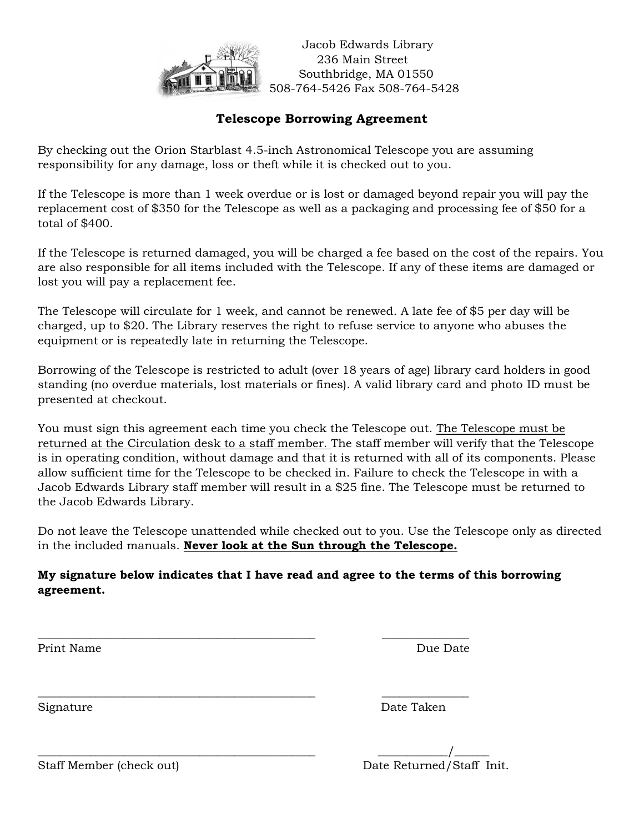

 Jacob Edwards Library 236 Main Street Southbridge, MA 01550 508-764-5426 Fax 508-764-5428

# **Telescope Borrowing Agreement**

By checking out the Orion Starblast 4.5-inch Astronomical Telescope you are assuming responsibility for any damage, loss or theft while it is checked out to you.

If the Telescope is more than 1 week overdue or is lost or damaged beyond repair you will pay the replacement cost of \$350 for the Telescope as well as a packaging and processing fee of \$50 for a total of \$400.

If the Telescope is returned damaged, you will be charged a fee based on the cost of the repairs. You are also responsible for all items included with the Telescope. If any of these items are damaged or lost you will pay a replacement fee.

The Telescope will circulate for 1 week, and cannot be renewed. A late fee of \$5 per day will be charged, up to \$20. The Library reserves the right to refuse service to anyone who abuses the equipment or is repeatedly late in returning the Telescope.

Borrowing of the Telescope is restricted to adult (over 18 years of age) library card holders in good standing (no overdue materials, lost materials or fines). A valid library card and photo ID must be presented at checkout.

You must sign this agreement each time you check the Telescope out. The Telescope must be returned at the Circulation desk to a staff member. The staff member will verify that the Telescope is in operating condition, without damage and that it is returned with all of its components. Please allow sufficient time for the Telescope to be checked in. Failure to check the Telescope in with a Jacob Edwards Library staff member will result in a \$25 fine. The Telescope must be returned to the Jacob Edwards Library.

Do not leave the Telescope unattended while checked out to you. Use the Telescope only as directed in the included manuals. **Never look at the Sun through the Telescope.**

### **My signature below indicates that I have read and agree to the terms of this borrowing agreement.**

**\_\_\_\_\_\_\_\_\_\_\_\_\_\_\_\_\_\_\_\_\_\_\_\_\_\_\_\_\_\_\_\_\_\_\_\_\_\_\_\_\_\_\_\_\_\_\_\_ \_\_\_\_\_\_\_\_\_\_\_\_\_\_\_**

\_\_\_\_\_\_\_\_\_\_\_\_\_\_\_\_\_\_\_\_\_\_\_\_\_\_\_\_\_\_\_\_\_\_\_\_\_\_\_\_\_\_\_\_\_\_\_\_ \_\_\_\_\_\_\_\_\_\_\_\_\_\_\_

\_\_\_\_\_\_\_\_\_\_\_\_\_\_\_\_\_\_\_\_\_\_\_\_\_\_\_\_\_\_\_\_\_\_\_\_\_\_\_\_\_\_\_\_\_\_\_\_ \_\_\_\_\_\_\_\_\_\_\_\_/\_\_\_\_\_\_

Print Name Due Date

Signature Date Taken

Staff Member (check out) Date Returned/Staff Init.